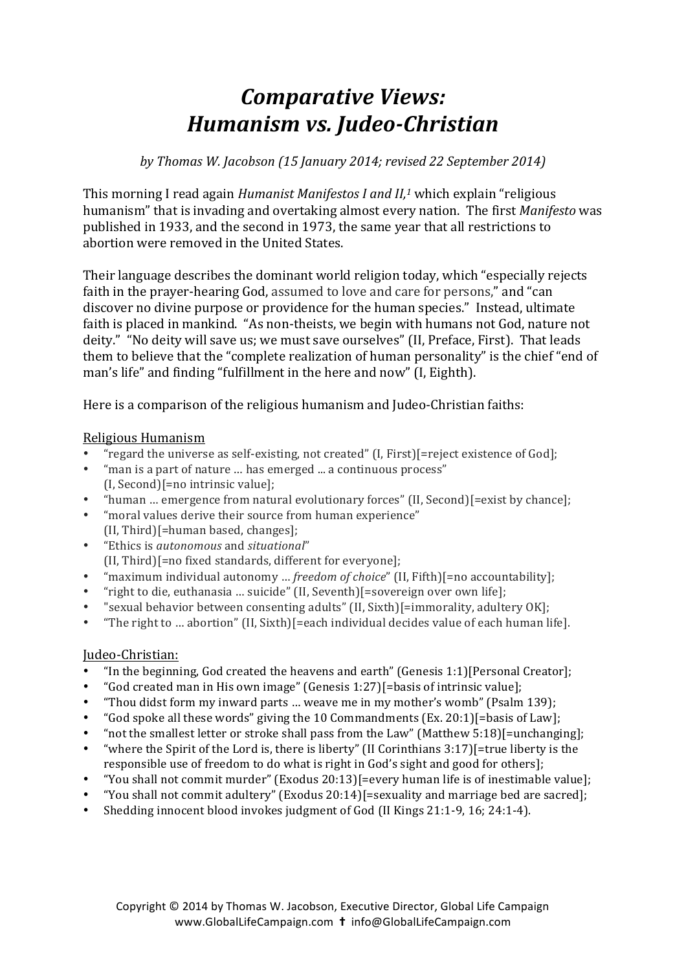## *Comparative Views: Humanism vs. Judeo-Christian*

*by Thomas W. Jacobson (15 January 2014; revised 22 September 2014)*

This morning I read again *Humanist Manifestos I and II,<sup>1</sup>* which explain "religious humanism" that is invading and overtaking almost every nation. The first *Manifesto* was published in 1933, and the second in 1973, the same vear that all restrictions to abortion were removed in the United States.

Their language describes the dominant world religion today, which "especially rejects" faith in the prayer-hearing God, assumed to love and care for persons," and "can discover no divine purpose or providence for the human species." Instead, ultimate faith is placed in mankind. "As non-theists, we begin with humans not God, nature not deity." "No deity will save us; we must save ourselves" (II, Preface, First). That leads them to believe that the "complete realization of human personality" is the chief "end of man's life" and finding "fulfillment in the here and now" (I. Eighth).

Here is a comparison of the religious humanism and Judeo-Christian faiths:

## Religious Humanism

- "regard the universe as self-existing, not created" (I, First)[=reject existence of God];
- "man is a part of nature ... has emerged ... a continuous process"  $(I, Second)$ [=no intrinsic value];
- "human ... emergence from natural evolutionary forces" (II, Second)[=exist by chance];
- "moral values derive their source from human experience"  $(II, Third)$ [=human based, changes];
- "Ethics is *autonomous* and *situational*" (II, Third)[=no fixed standards, different for everyone];
- "maximum individual autonomy ... *freedom of choice"* (II, Fifth)[=no accountability];
- "right to die, euthanasia ... suicide" (II, Seventh) $[=$ sovereign over own life];
- "sexual behavior between consenting adults" (II, Sixth)[=immorality, adultery OK];
- "The right to ... abortion" (II, Sixth)[=each individual decides value of each human life].

## Judeo-Christian:

- "In the beginning, God created the heavens and earth" (Genesis 1:1)[Personal Creator];
- "God created man in His own image" (Genesis 1:27)[=basis of intrinsic value];
- "Thou didst form my inward parts ... weave me in my mother's womb" (Psalm 139);
- "God spoke all these words" giving the 10 Commandments  $(Ex. 20:1)$ [=basis of Law];
- " not the smallest letter or stroke shall pass from the Law" (Matthew  $5:18$ )[=unchanging];
- "where the Spirit of the Lord is, there is liberty" (II Corinthians  $3:17$ )[=true liberty is the responsible use of freedom to do what is right in God's sight and good for others];
- "You shall not commit murder" (Exodus  $20:13$ ][=every human life is of inestimable value];
- "You shall not commit adultery" (Exodus  $20:14$ )[=sexuality and marriage bed are sacred];
- Shedding innocent blood invokes judgment of God (II Kings 21:1-9, 16; 24:1-4).